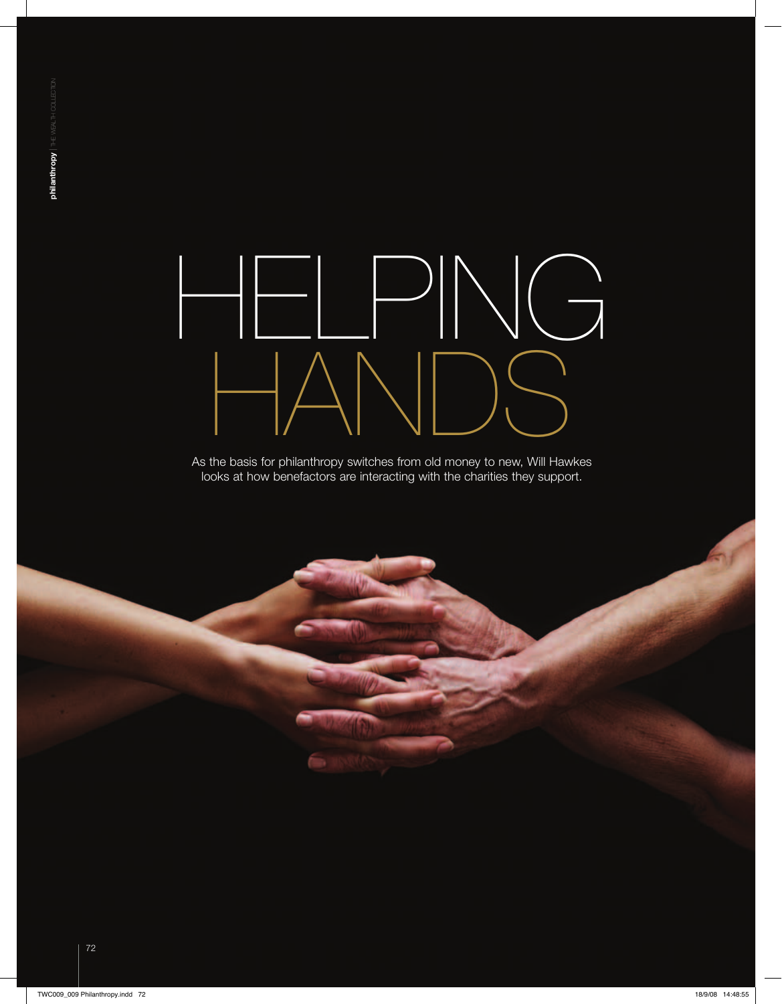## helping HANDS

As the basis for philanthropy switches from old money to new, Will Hawkes looks at how benefactors are interacting with the charities they support.